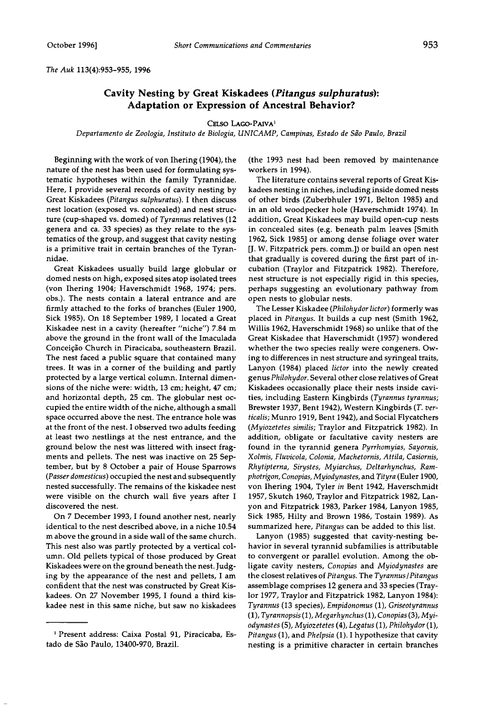**The Auk 113(4):953-955, 1996** 

## **Cavity Nesting by Great Kiskadees (Pitangus sulphuratus): Adaptation or Expression of Ancestral Behavior?**

## CELSO LAGO-PAIVA<sup>1</sup>

Departamento de Zoologia, Instituto de Biologia, UNICAMP, Campinas, Estado de São Paulo, Brazil

**Beginning with the work of von Ihering (1904), the nature of the nest has been used for formulating systematic hypotheses within the family Tyrannidae. Here, I provide several records of cavity nesting by**  Great Kiskadees (Pitangus sulphuratus). I then discuss **nest location (exposed vs. concealed) and nest structure (cup-shaped vs. domed) of Tyrannus relatives (12 genera and ca. 33 species) as they relate to the systematics of the group, and suggest that cavity nesting is a primitive trait in certain branches of the Tyrannidae.** 

**Great Kiskadees usually build large globular or domed nests on high, exposed sites atop isolated trees (von Ihering 1904; Haverschmidt 1968, 1974; pets. obs.). The nests contain a lateral entrance and are firmly attached to the forks of branches (Euler 1900, Sick 1985). On 18 September 1989, I located a Great Kiskadee nest in a cavity (hereafter "niche") 7.84 m above the ground in the front wall of the Imaculada**  Conceição Church in Piracicaba, southeastern Brazil. **The nest faced a public square that contained many trees. It was in a corner of the building and partly protected by a large vertical column. Internal dimensions of the niche were: width, 13 cm; height, 47 cm; and horizontal depth, 25 cm. The globular nest occupied the entire width of the niche, although a small space occurred above the nest. The entrance hole was at the front of the nest. I observed two adults feeding at least two nestlings at the nest entrance, and the ground below the nest was littered with insect fragments and pellets. The nest was inactive on 25 September, but by 8 October a pair of House Sparrows (Passer domesticus) occupied the nest and subsequently nested successfully. The remains of the kiskadee nest were visible on the church wall five years after I discovered the nest.** 

**On 7 December 1993, I found another nest, nearly identical to the nest described above, in a niche 10.54 m above the ground in a side wall of the same church. This nest also was partly protected by a vertical column. Old pellets typical of those produced by Great Kiskadees were on the ground beneath the nest. Judging by the appearance of the nest and pellets, I am confident that the nest was constructed by Great Kiskadees. On 27 November 1995, I found a third kiskadee nest in this same niche, but saw no kiskadees** 

**(the 1993 nest had been removed by maintenance workers in 1994).** 

**The literature contains several reports of Great Kiskadees nesting in niches, including inside domed nests of other birds (Zuberbhuler 1971, Belton 1985) and in an old woodpecker hole (Haverschmidt 1974). In addition, Great Kiskadees may build open-cup nests in concealed sites (e.g. beneath palm leaves [Smith 1962, Sick 1985] or among dense foliage over water [J. W. Fitzpatrick pets. comm.]) or build an open nest that gradually is covered during the first part of incubation (Traylot and Fitzpatrick 1982). Therefore, nest structure is not especially rigid in this species, perhaps suggesting an evolutionary pathway from open nests to globular nests.** 

**The Lesser Kiskadee (Philohydor lictor) formerly was placed in Pitangus. It builds a cup nest (Smith 1962, Willis 1962, Haverschmidt 1968) so unlike that of the Great Kiskadee that Haverschmidt (1957) wondered whether the two species really were congeners. Owing to differences in nest structure and syringeal traits, Lanyon (1984) placed lictor into the newly created genus Philohydor. Several other close relatives of Great Kiskadees occasionally place their nests inside cavities, including Eastern Kingbirds (Tyrannus tyrannus; Brewster 1937, Bent 1942), Western Kingbirds (T. verticalis; Munro 1919, Bent 1942), and Social Flycatchers**  (*Myiozetetes similis*; Traylor and Fitzpatrick 1982). In **addition, obligate or facultative cavity nesters are found in the tyrannid genera Pyrrhomyias, Sayornis, Xolmis, Fluvicola, Colonia, Machetornis, Attila, Casiornis, Rhytipterna, Sirystes, Myiarchus, Deltarhynchus, Ramphotrigon, Conopias, Myiodynastes, and Tityra (Euler 1900, von Ihering 1904, Tyler in Bent 1942, Haverschmidt 1957, Skutch 1960, Traylot and Fitzpatrick 1982, Lanyon and Fitzpatrick 1983, Parker 1984, Lanyon 1985, Sick 1985, Hilty and Brown 1986, Tostain 1989). As summarized here, Pitangus can be added to this list.** 

**Lanyon (1985) suggested that cavity-nesting behavior in several tyrannid subfamilies is attributable to convergent or parallel evolution. Among the obligate cavity nesters, Conopias and Myiodynastes are the closest relatives of Pitangus. The Tyrannus/Pitangus assemblage comprises 12 genera and 33 species (Traylot 1977, Traylot and Fitzpatrick 1982, Lanyon 1984): Tyrannus (13 species), Empidonomus (1), Griseotyrannus (1), Tyrannopsis (1), Megarhynchus (1), Conopias (3), Myiodynastes (5), Myiozetetes (4), Legatus (1), Philohydor (1), Pitangus (1), and Phelpsia (1). I hypothesize that cavity nesting is a primitive character in certain branches** 

**Present address: Caixa Postal 91, Piracicaba, Estado de S•o Paulo, 13400-970, Brazil.**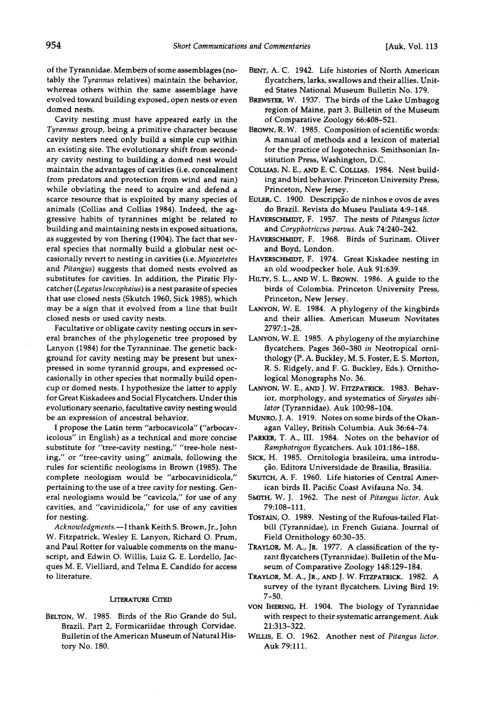**of the Tyrannidae. Members of some assemblages (notably the Tyrannus relatives) maintain the behavior, whereas others within the same assemblage have evolved toward building exposed, open nests or even domed nests.** 

**Cavity nesting must have appeared early in the Tyrannus group, being a primitive character because cavity nesters need only build a simple cup within an existing site. The evolutionary shift from secondary cavity nesting to building a domed nest would maintain the advantages of cavities (i.e. concealment from predators and protection from wind and rain) while obviating the need to acquire and defend a scarce resource that is exploited by many species of animals (Collias and Collias 1984). Indeed, the aggressive habits of tyrannines might be related to building and maintaining nests in exposed situations, as suggested by von Ihering (1904). The fact that several species that normally build a globular nest occasionally revert to nesting in cavities (i.e. Myiozetetes and Pitangus) suggests that domed nests evolved as substitutes for cavities. In addition, the Piratic Flycatcher (Legatus leucophaius) is a nest parasite of species that use closed nests (Skutch 1960, Sick 1985), which may be a sign that it evolved from a line that built closed nests or used cavity nests.** 

**Facultative or obligate cavity nesting occurs in several branches of the phylogenetic tree proposed by Lanyon (1984) for the Tyranninae. The genetic background for cavity nesting may be present but unexpressed in some tyrannid groups, and expressed occasionally in other species that normally build opencup or domed nests. I hypothesize the latter to apply for Great Kiskadees and Social Flycatchers. Under this evolutionary scenario, facultative cavity nesting would be an expression of ancestral behavior.** 

**I propose the Latin term "arbocavicola" ("arbocavicolous" in English) as a technical and more concise substitute for "tree-cavity nesting," "tree-hole nesting," or "tree-cavity using" animals, following the rules for scientific neologisms in Brown (1985). The complete neologism would be "arbocavinidicola," pertaining to the use of a tree cavity for nesting. General neologisms would be "cavicola," for use of any cavities, and "cavinidicola," for use of any cavities for nesting.** 

**Acknowledgments.--I thank Keith S. Brown, Jr., John W. Fitzpatrick, Wesley E. Lanyon, Richard O. Prum, and Paul Rotter for valuable comments on the manuscript, and Edwin O. Willis, Luiz G. E. Lordello, Jacques M. E. Vielliard, and Telma E. Candido for access to literature.** 

## **LITERATURE CITED**

**BELTON, W. 1985. Birds of the Rio Grande do Sul, Brazil. Part 2, Formicariidae through Corvidae. Bulletin of the American Museum of Natural History No. 180.** 

- **BENT, A. C. 1942. Life histories of North American flycatchers, larks, swallows and their allies. United States National Museum Bulletin No. 179.**
- **BREWSTER, W. 1937. The birds of the Lake Umbagog region of Maine, part 3. Bulletin of the Museum of Comparative Zoology 66:408-521.**
- **BROWN, R.W. 1985. Composition of scientific words: A manual of methods and a lexicon of material for the practice of logotechnics. Smithsonian Institution Press, Washington, D.C.**
- **COLLIAS, N. E., AND E. C. COLLIAS. 1984. Nest building and bird behavior. Princeton University Press, Princeton, New Jersey.**
- EULER, C. 1900. Descripção de ninhos e ovos de aves **do Brazil. Revista do Museu Paulista 4:9-148.**
- HAVERSCHMIDT, F. 1957. The nests of Pitangus lictor **and Coryphotriccus parvus. Auk 74:240-242.**
- **HAVERSCHMIDT, F. 1968. Birds of Surinam. Oliver and Boyd, London.**
- **HAVERSCHMIDT, F. 1974. Great Kiskadee nesting in an old woodpecker hole. Auk 91:639.**
- **HILTY, S. L., AND W. L. BROWN. 1986. A guide to the birds of Colombia. Princeton University Press, Princeton, New Jersey.**
- **LANYON, W. E. 1984. A phylogeny of the kingbirds and their allies. American Museum Novitates 2797:1-28.**
- **LANYON, W. E. 1985. A phylogeny of the myiarchine flycatchers. Pages 360-380 in Neotropical ornithology (P. A. Buckley, M. S. Foster, E. S. Morton, R. S. Ridgely, and F. G. Buckley, Eds.). Ornithological Monographs No. 36.**
- **LANYON, W. E., AND J. W. FITZPATRICK. 1983. Behav**ior, morphology, and systematics of Sirystes sibi**lator (Tyrannidae). Auk 100:98-104.**
- **MUNRO, J.A. 1919. Notes on some birds of the Okanagan Valley, British Columbia. Auk 36:64-74.**
- **PARKER, T. A., III. 1984. Notes on the behavior of Ramphotrigon flycatchers. Auk 101:186-188.**
- SICK, H. 1985. Ornitologia brasileira, uma introdução. Editora Universidade de Brasilia, Brasilia.
- **SXUTCH, A. F. 1960. Life histories of Central American birds II. Pacific Coast Avifauna No. 34.**
- **SMITH, W. J. 1962. The nest of Pitangus lictor. Auk 79:108-111.**
- **TOSTAIN, O. 1989. Nesting of the Rufous-tailed Flatbill (Tyrannidae), in French Guiana. Journal of Field Ornithology 60:30-35.**
- **TRAYLOR, M. A., JR. 1977. A classification of the tyrant flycatchers (Tyrannidae). Bulletin of the Museum of Comparative Zoology 148:129-184.**
- **TRAYLOR, M. A., JR., AND J. W. FITZPATRICK. 1982. A survey of the tyrant flycatchers. Living Bird 19: 7-50.**
- **voN IHERINC, H. 1904. The biology of Tyrannidae**  with respect to their systematic arrangement. Auk **21:313-322.**
- **WILLIS, E. O. 1962. Another nest of Pitangus lictor. Auk 79:111.**